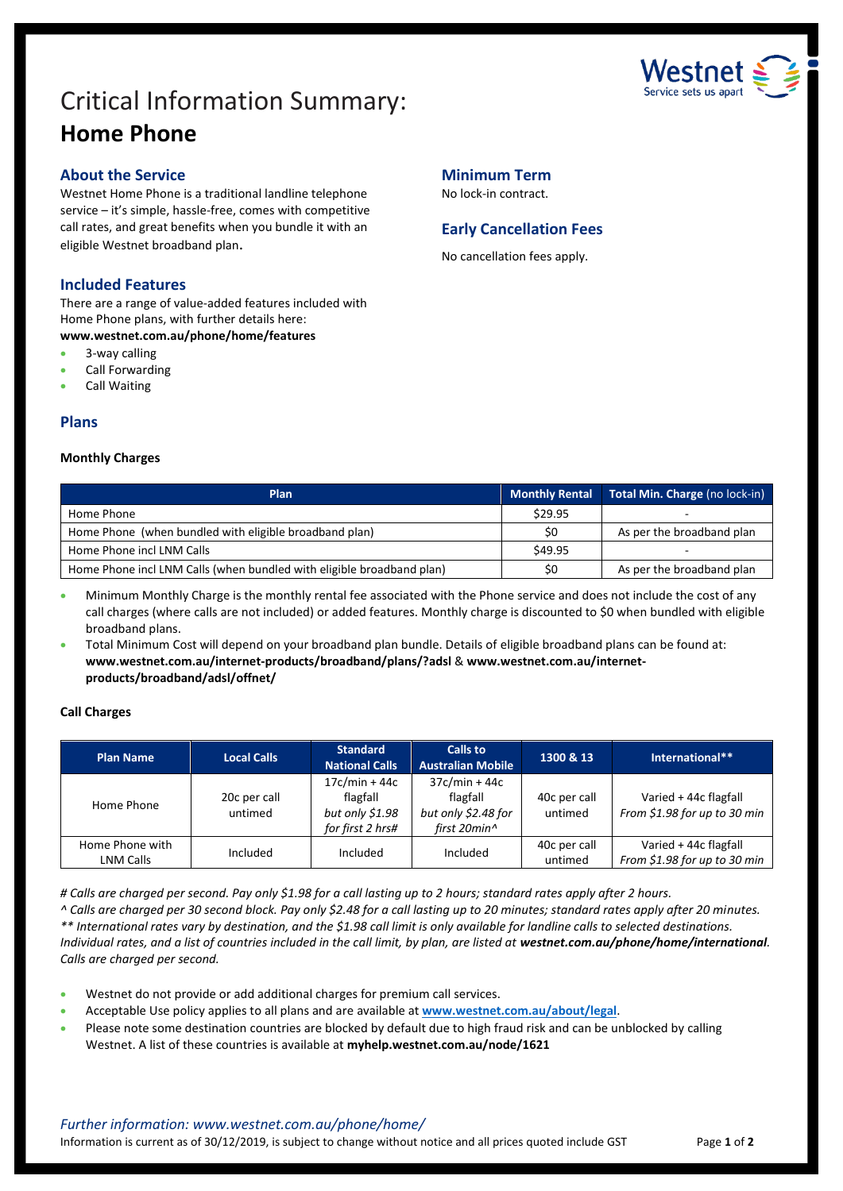

# Critical Information Summary: **Home Phone**

# **About the Service**

Westnet Home Phone is a traditional landline telephone service – it's simple, hassle-free, comes with competitive call rates, and great benefits when you bundle it with an eligible Westnet broadband plan.

# **Included Features**

There are a range of value-added features included with Home Phone plans, with further details here: **www.westnet.com.au/phone/home/features**

3-way calling

- Call Forwarding
- Call Waiting
- 

# **Plans**

## **Monthly Charges**

| <b>Minimum Term</b>  |  |
|----------------------|--|
| No lock-in contract. |  |

# **Early Cancellation Fees**

No cancellation fees apply.

| Plan                                                                  | <b>Monthly Rental</b> | Total Min. Charge (no lock-in) |
|-----------------------------------------------------------------------|-----------------------|--------------------------------|
| Home Phone                                                            | \$29.95               |                                |
| Home Phone (when bundled with eligible broadband plan)                | \$0                   | As per the broadband plan      |
| Home Phone incl LNM Calls                                             | \$49.95               |                                |
| Home Phone incl LNM Calls (when bundled with eligible broadband plan) | \$0                   | As per the broadband plan      |

- Minimum Monthly Charge is the monthly rental fee associated with the Phone service and does not include the cost of any call charges (where calls are not included) or added features. Monthly charge is discounted to \$0 when bundled with eligible broadband plans.
- Total Minimum Cost will depend on your broadband plan bundle. Details of eligible broadband plans can be found at: **www.westnet.com.au/internet-products/broadband/plans/?adsl** & **www.westnet.com.au/internetproducts/broadband/adsl/offnet/**

# **Call Charges**

| <b>Plan Name</b>                    | <b>Local Calls</b>      | <b>Standard</b><br><b>National Calls</b>                           | Calls to<br><b>Australian Mobile</b>                               | 1300 & 13               | International**                                       |
|-------------------------------------|-------------------------|--------------------------------------------------------------------|--------------------------------------------------------------------|-------------------------|-------------------------------------------------------|
| Home Phone                          | 20c per call<br>untimed | $17c/min + 44c$<br>flagfall<br>but only \$1.98<br>for first 2 hrs# | $37c/min + 44c$<br>flagfall<br>but only \$2.48 for<br>first 20min^ | 40c per call<br>untimed | Varied + 44c flagfall<br>From \$1.98 for up to 30 min |
| Home Phone with<br><b>LNM Calls</b> | Included                | Included                                                           | Included                                                           | 40c per call<br>untimed | Varied + 44c flagfall<br>From \$1.98 for up to 30 min |

*# Calls are charged per second. Pay only \$1.98 for a call lasting up to 2 hours; standard rates apply after 2 hours.*

*^ Calls are charged per 30 second block. Pay only \$2.48 for a call lasting up to 20 minutes; standard rates apply after 20 minutes. \*\* International rates vary by destination, and the \$1.98 call limit is only available for landline calls to selected destinations. Individual rates, and a list of countries included in the call limit, by plan, are listed at westnet.com.au/phone/home/international. Calls are charged per second.*

- Westnet do not provide or add additional charges for premium call services.
- Acceptable Use policy applies to all plans and are available at **[www.westnet.com.au/about/legal](http://www.westnet.com.au/about/legal)**.
- Please note some destination countries are blocked by default due to high fraud risk and can be unblocked by calling Westnet. A list of these countries is available at **myhelp.westnet.com.au/node/1621**